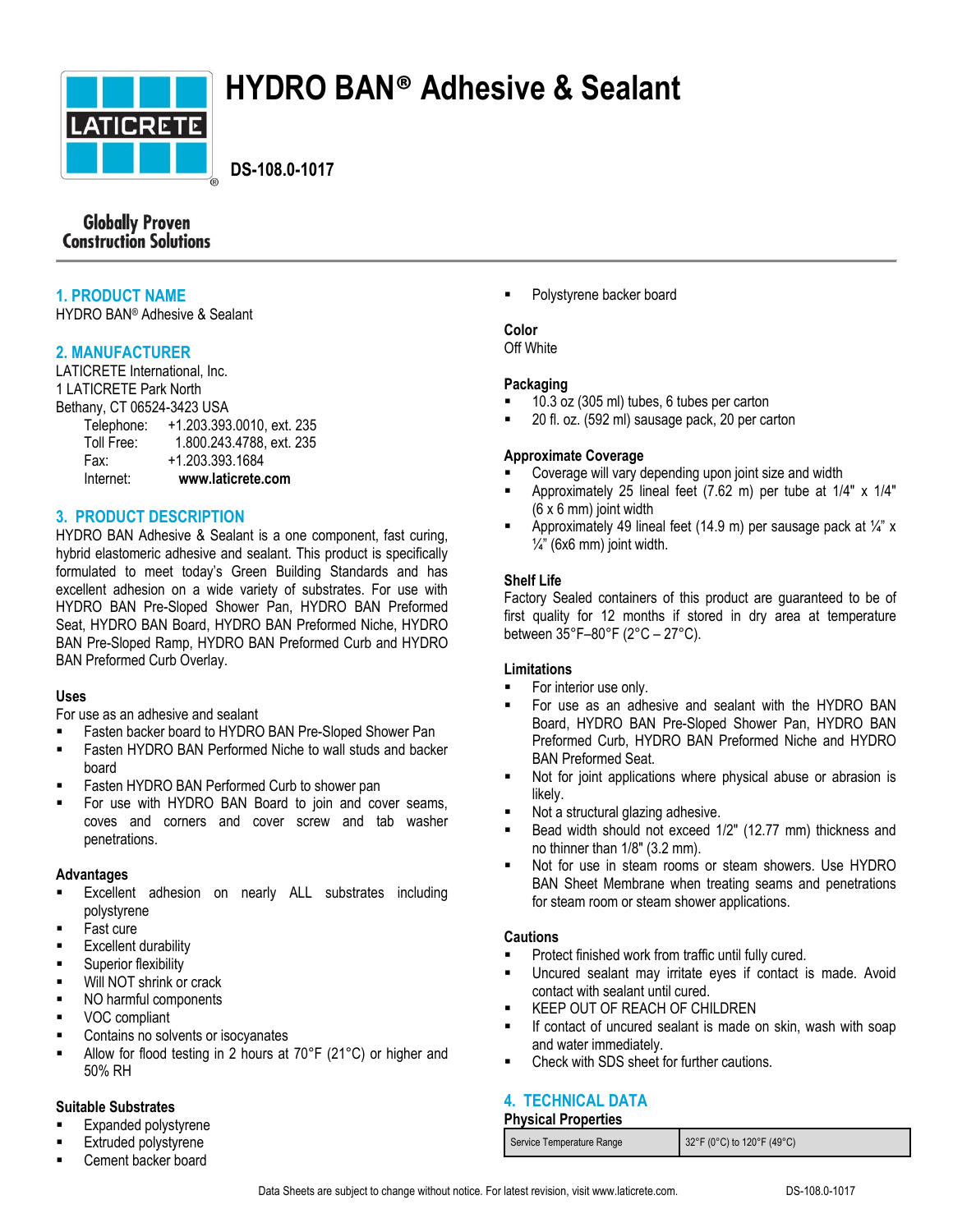

# **HYDRO BAN® Adhesive & Sealant**

 **DS-108.0-1017**

## **Globally Proven Construction Solutions**

## **1. PRODUCT NAME**

HYDRO BAN® Adhesive & Sealant

## **2. MANUFACTURER**

LATICRETE International, Inc. 1 LATICRETE Park North Bethany, CT 06524-3423 USA Telephone: +1.203.393.0010, ext. 235 Toll Free: 1.800.243.4788, ext. 235 Fax: +1.203.393.1684 Internet: **www.laticrete.com**

## **3. PRODUCT DESCRIPTION**

HYDRO BAN Adhesive & Sealant is a one component, fast curing, hybrid elastomeric adhesive and sealant. This product is specifically formulated to meet today's Green Building Standards and has excellent adhesion on a wide variety of substrates. For use with HYDRO BAN Pre-Sloped Shower Pan, HYDRO BAN Preformed Seat, HYDRO BAN Board, HYDRO BAN Preformed Niche, HYDRO BAN Pre-Sloped Ramp, HYDRO BAN Preformed Curb and HYDRO BAN Preformed Curb Overlay.

## **Uses**

For use as an adhesive and sealant

- Fasten backer board to HYDRO BAN Pre-Sloped Shower Pan
- Fasten HYDRO BAN Performed Niche to wall studs and backer board
- Fasten HYDRO BAN Performed Curb to shower pan
- For use with HYDRO BAN Board to join and cover seams, coves and corners and cover screw and tab washer penetrations.

## **Advantages**

- Excellent adhesion on nearly ALL substrates including polystyrene
- Fast cure
- **Excellent durability**
- **Superior flexibility**
- **Will NOT shrink or crack**
- NO harmful components
- **vOC** compliant
- Contains no solvents or isocyanates
- Allow for flood testing in 2 hours at 70°F (21°C) or higher and 50% RH

#### **Suitable Substrates**

- Expanded polystyrene
- Extruded polystyrene
- Cement backer board

Polystyrene backer board

# **Color**

Off White

## **Packaging**

- 10.3 oz (305 ml) tubes, 6 tubes per carton
- 20 fl. oz. (592 ml) sausage pack, 20 per carton

## **Approximate Coverage**

- Coverage will vary depending upon joint size and width
- Approximately 25 lineal feet (7.62 m) per tube at 1/4" x 1/4"  $(6 \times 6 \text{ mm})$  joint width
- Approximately 49 lineal feet (14.9 m) per sausage pack at  $\frac{1}{4}$ " x  $\frac{1}{4}$ " (6x6 mm) joint width.

## **Shelf Life**

Factory Sealed containers of this product are guaranteed to be of first quality for 12 months if stored in dry area at temperature between 35°F–80°F (2°C – 27°C).

## **Limitations**

- For interior use only.
- For use as an adhesive and sealant with the HYDRO BAN Board, HYDRO BAN Pre-Sloped Shower Pan, HYDRO BAN Preformed Curb, HYDRO BAN Preformed Niche and HYDRO BAN Preformed Seat.
- Not for joint applications where physical abuse or abrasion is likely.
- Not a structural glazing adhesive.
- Bead width should not exceed 1/2" (12.77 mm) thickness and no thinner than 1/8" (3.2 mm).
- Not for use in steam rooms or steam showers. Use HYDRO BAN Sheet Membrane when treating seams and penetrations for steam room or steam shower applications.

## **Cautions**

- Protect finished work from traffic until fully cured.
- Uncured sealant may irritate eyes if contact is made. Avoid contact with sealant until cured.
- KEEP OUT OF REACH OF CHILDREN
- If contact of uncured sealant is made on skin, wash with soap and water immediately.
- Check with SDS sheet for further cautions.

# **4. TECHNICAL DATA**

## **Physical Properties**

|  | Service Temperature Range | 32°F (0°C) to 120°F (49°C) |
|--|---------------------------|----------------------------|
|--|---------------------------|----------------------------|